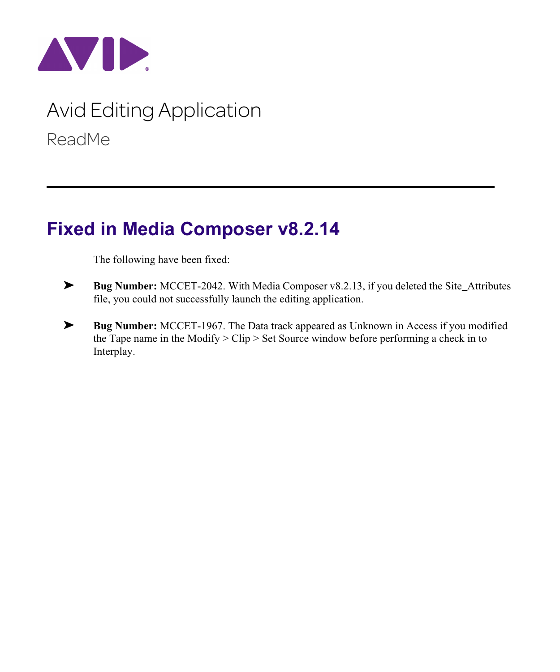

# Avid Editing Application ReadMe

## **Fixed in Media Composer v8.2.14**

The following have been fixed:

- ➤ **Bug Number:** MCCET-2042. With Media Composer v8.2.13, if you deleted the Site\_Attributes file, you could not successfully launch the editing application.
- ➤ **Bug Number:** MCCET-1967. The Data track appeared as Unknown in Access if you modified the Tape name in the Modify > Clip > Set Source window before performing a check in to Interplay.